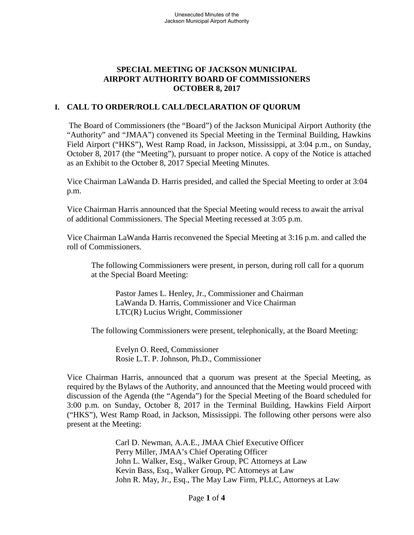### **SPECIAL MEETING OF JACKSON MUNICIPAL AIRPORT AUTHORITY BOARD OF COMMISSIONERS OCTOBER 8, 2017**

# **I. CALL TO ORDER/ROLL CALL/DECLARATION OF QUORUM**

The Board of Commissioners (the "Board") of the Jackson Municipal Airport Authority (the "Authority" and "JMAA") convened its Special Meeting in the Terminal Building, Hawkins Field Airport ("HKS"), West Ramp Road, in Jackson, Mississippi, at 3:04 p.m., on Sunday, October 8, 2017 (the "Meeting"), pursuant to proper notice. A copy of the Notice is attached as an Exhibit to the October 8, 2017 Special Meeting Minutes.

Vice Chairman LaWanda D. Harris presided, and called the Special Meeting to order at 3:04 p.m.

Vice Chairman Harris announced that the Special Meeting would recess to await the arrival of additional Commissioners. The Special Meeting recessed at 3:05 p.m.

Vice Chairman LaWanda Harris reconvened the Special Meeting at 3:16 p.m. and called the roll of Commissioners.

The following Commissioners were present, in person, during roll call for a quorum at the Special Board Meeting:

Pastor James L. Henley, Jr., Commissioner and Chairman LaWanda D. Harris, Commissioner and Vice Chairman LTC(R) Lucius Wright, Commissioner

The following Commissioners were present, telephonically, at the Board Meeting:

Evelyn O. Reed, Commissioner Rosie L.T. P. Johnson, Ph.D., Commissioner

Vice Chairman Harris, announced that a quorum was present at the Special Meeting, as required by the Bylaws of the Authority, and announced that the Meeting would proceed with discussion of the Agenda (the "Agenda") for the Special Meeting of the Board scheduled for 3:00 p.m. on Sunday, October 8, 2017 in the Terminal Building, Hawkins Field Airport ("HKS"), West Ramp Road, in Jackson, Mississippi. The following other persons were also present at the Meeting:

> Carl D. Newman, A.A.E., JMAA Chief Executive Officer Perry Miller, JMAA's Chief Operating Officer John L. Walker, Esq., Walker Group, PC Attorneys at Law Kevin Bass, Esq., Walker Group, PC Attorneys at Law John R. May, Jr., Esq., The May Law Firm, PLLC, Attorneys at Law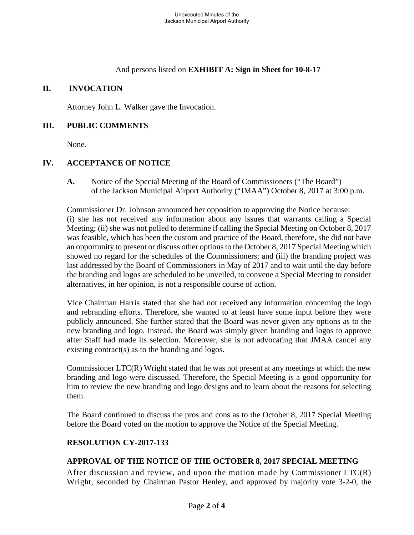And persons listed on **EXHIBIT A: Sign in Sheet for 10-8-17**

### **II. INVOCATION**

Attorney John L. Walker gave the Invocation.

#### **III. PUBLIC COMMENTS**

None.

# **IV. ACCEPTANCE OF NOTICE**

**A.** Notice of the Special Meeting of the Board of Commissioners ("The Board") of the Jackson Municipal Airport Authority ("JMAA") October 8, 2017 at 3:00 p.m.

Commissioner Dr. Johnson announced her opposition to approving the Notice because: (i) she has not received any information about any issues that warrants calling a Special Meeting; (ii) she was not polled to determine if calling the Special Meeting on October 8, 2017 was feasible, which has been the custom and practice of the Board, therefore, she did not have an opportunity to present or discuss other options to the October 8, 2017 Special Meeting which showed no regard for the schedules of the Commissioners; and (iii) the branding project was last addressed by the Board of Commissioners in May of 2017 and to wait until the day before the branding and logos are scheduled to be unveiled, to convene a Special Meeting to consider alternatives, in her opinion, is not a responsible course of action.

Vice Chairman Harris stated that she had not received any information concerning the logo and rebranding efforts. Therefore, she wanted to at least have some input before they were publicly announced. She further stated that the Board was never given any options as to the new branding and logo. Instead, the Board was simply given branding and logos to approve after Staff had made its selection. Moreover, she is not advocating that JMAA cancel any existing contract(s) as to the branding and logos.

Commissioner LTC(R) Wright stated that he was not present at any meetings at which the new branding and logo were discussed. Therefore, the Special Meeting is a good opportunity for him to review the new branding and logo designs and to learn about the reasons for selecting them.

The Board continued to discuss the pros and cons as to the October 8, 2017 Special Meeting before the Board voted on the motion to approve the Notice of the Special Meeting.

### **RESOLUTION CY-2017-133**

### **APPROVAL OF THE NOTICE OF THE OCTOBER 8, 2017 SPECIAL MEETING**

After discussion and review, and upon the motion made by Commissioner LTC(R) Wright, seconded by Chairman Pastor Henley, and approved by majority vote 3-2-0, the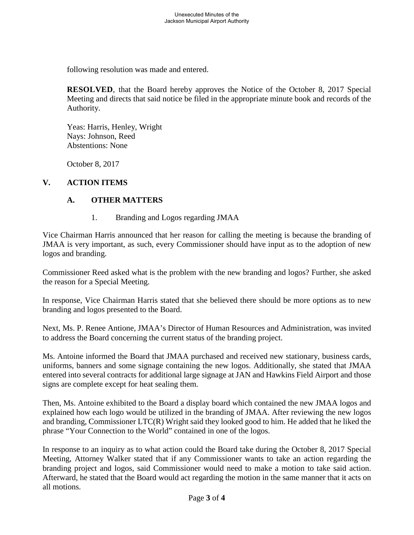following resolution was made and entered.

**RESOLVED**, that the Board hereby approves the Notice of the October 8, 2017 Special Meeting and directs that said notice be filed in the appropriate minute book and records of the Authority.

Yeas: Harris, Henley, Wright Nays: Johnson, Reed Abstentions: None

October 8, 2017

# **V. ACTION ITEMS**

### **A. OTHER MATTERS**

1. Branding and Logos regarding JMAA

Vice Chairman Harris announced that her reason for calling the meeting is because the branding of JMAA is very important, as such, every Commissioner should have input as to the adoption of new logos and branding.

Commissioner Reed asked what is the problem with the new branding and logos? Further, she asked the reason for a Special Meeting.

In response, Vice Chairman Harris stated that she believed there should be more options as to new branding and logos presented to the Board.

Next, Ms. P. Renee Antione, JMAA's Director of Human Resources and Administration, was invited to address the Board concerning the current status of the branding project.

Ms. Antoine informed the Board that JMAA purchased and received new stationary, business cards, uniforms, banners and some signage containing the new logos. Additionally, she stated that JMAA entered into several contracts for additional large signage at JAN and Hawkins Field Airport and those signs are complete except for heat sealing them.

Then, Ms. Antoine exhibited to the Board a display board which contained the new JMAA logos and explained how each logo would be utilized in the branding of JMAA. After reviewing the new logos and branding, Commissioner LTC(R) Wright said they looked good to him. He added that he liked the phrase "Your Connection to the World" contained in one of the logos.

In response to an inquiry as to what action could the Board take during the October 8, 2017 Special Meeting, Attorney Walker stated that if any Commissioner wants to take an action regarding the branding project and logos, said Commissioner would need to make a motion to take said action. Afterward, he stated that the Board would act regarding the motion in the same manner that it acts on all motions.